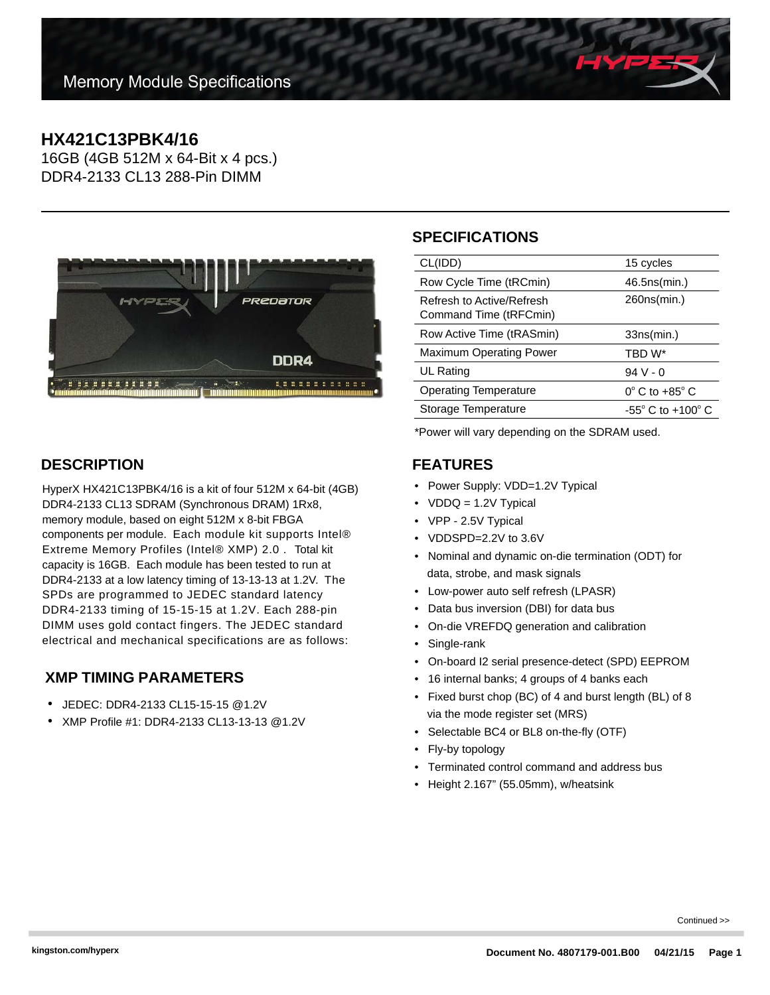# **HX421C13PBK4/16**

16GB (4GB 512M x 64-Bit x 4 pcs.) DDR4-2133 CL13 288-Pin DIMM



### **DESCRIPTION**

HyperX HX421C13PBK4/16 is a kit of four 512M x 64-bit (4GB) DDR4-2133 CL13 SDRAM (Synchronous DRAM) 1Rx8, memory module, based on eight 512M x 8-bit FBGA components per module. Each module kit supports Intel® Extreme Memory Profiles (Intel® XMP) 2.0 . Total kit capacity is 16GB. Each module has been tested to run at DDR4-2133 at a low latency timing of 13-13-13 at 1.2V. The SPDs are programmed to JEDEC standard latency DDR4-2133 timing of 15-15-15 at 1.2V. Each 288-pin DIMM uses gold contact fingers. The JEDEC standard electrical and mechanical specifications are as follows:

#### **XMP TIMING PARAMETERS**

- JEDEC: DDR4-2133 CL15-15-15 @1.2V
- XMP Profile #1: DDR4-2133 CL13-13-13 @1.2V

## **SPECIFICATIONS**

| CL(IDD)                                             | 15 cycles                           |
|-----------------------------------------------------|-------------------------------------|
| Row Cycle Time (tRCmin)                             | 46.5ns(min.)                        |
| Refresh to Active/Refresh<br>Command Time (tRFCmin) | 260ns(min.)                         |
| Row Active Time (tRASmin)                           | 33ns(min.)                          |
| <b>Maximum Operating Power</b>                      | TBD W*                              |
| UL Rating                                           | $94V - 0$                           |
| <b>Operating Temperature</b>                        | $0^\circ$ C to $+85^\circ$ C        |
| Storage Temperature                                 | $-55^{\circ}$ C to $+100^{\circ}$ C |
|                                                     |                                     |

\*Power will vary depending on the SDRAM used.

### **FEATURES**

- Power Supply: VDD=1.2V Typical
- VDDQ = 1.2V Typical
- VPP 2.5V Typical
- VDDSPD=2.2V to 3.6V
- Nominal and dynamic on-die termination (ODT) for data, strobe, and mask signals
- Low-power auto self refresh (LPASR)
- Data bus inversion (DBI) for data bus
- On-die VREFDQ generation and calibration
- Single-rank
- On-board I2 serial presence-detect (SPD) EEPROM
- 16 internal banks; 4 groups of 4 banks each
- Fixed burst chop (BC) of 4 and burst length (BL) of 8 via the mode register set (MRS)
- Selectable BC4 or BL8 on-the-fly (OTF)
- Fly-by topology
- Terminated control command and address bus
- Height 2.167" (55.05mm), w/heatsink